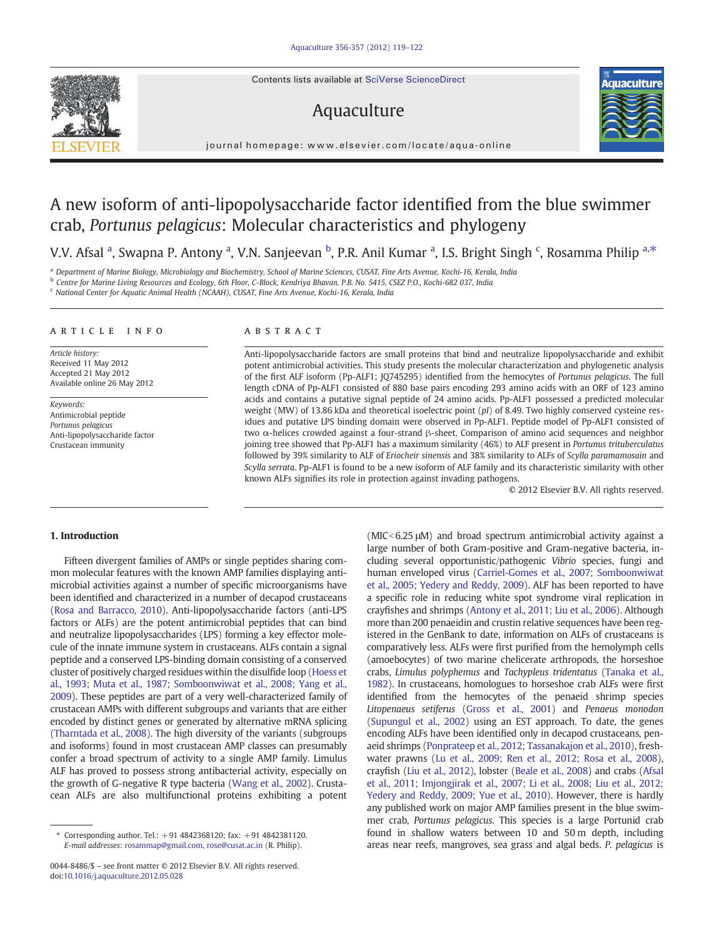Contents lists available at SciVerse ScienceDirect

# Aquaculture



journal homepage: www.elsevier.com/locate/aqua-online

# A new isoform of anti-lipopolysaccharide factor identified from the blue swimmer crab, Portunus pelagicus: Molecular characteristics and phylogeny

V.V. Afsal <sup>a</sup>, Swapna P. Antony <sup>a</sup>, V.N. Sanjeevan <sup>b</sup>, P.R. Anil Kumar <sup>a</sup>, I.S. Bright Singh <sup>c</sup>, Rosamma Philip <sup>a,\*</sup>

<sup>a</sup> Department of Marine Biology, Microbiology and Biochemistry, School of Marine Sciences, CUSAT, Fine Arts Avenue, Kochi-16, Kerala, India

<sup>b</sup> Centre for Marine Living Resources and Ecology, 6th Floor, C-Block, Kendriya Bhavan, P.B. No. 5415, CSEZ P.O., Kochi-682 037, India

<sup>c</sup> National Center for Aquatic Animal Health (NCAAH), CUSAT, Fine Arts Avenue, Kochi-16, Kerala, India

#### ARTICLE INFO ABSTRACT

Article history: Received 11 May 2012 Accepted 21 May 2012 Available online 26 May 2012

Keywords: Antimicrobial peptide Portunus pelagicus Anti-lipopolysaccharide factor Crustacean immunity

Anti-lipopolysaccharide factors are small proteins that bind and neutralize lipopolysaccharide and exhibit potent antimicrobial activities. This study presents the molecular characterization and phylogenetic analysis of the first ALF isoform (Pp-ALF1; JQ745295) identified from the hemocytes of Portunus pelagicus. The full length cDNA of Pp-ALF1 consisted of 880 base pairs encoding 293 amino acids with an ORF of 123 amino acids and contains a putative signal peptide of 24 amino acids. Pp-ALF1 possessed a predicted molecular weight (MW) of 13.86 kDa and theoretical isoelectric point (pI) of 8.49. Two highly conserved cysteine residues and putative LPS binding domain were observed in Pp-ALF1. Peptide model of Pp-ALF1 consisted of two α-helices crowded against a four-strand β-sheet. Comparison of amino acid sequences and neighbor joining tree showed that Pp-ALF1 has a maximum similarity (46%) to ALF present in Portunus trituberculatus followed by 39% similarity to ALF of Eriocheir sinensis and 38% similarity to ALFs of Scylla paramamosain and Scylla serrata. Pp-ALF1 is found to be a new isoform of ALF family and its characteristic similarity with other known ALFs signifies its role in protection against invading pathogens.

© 2012 Elsevier B.V. All rights reserved.

## 1. Introduction

Fifteen divergent families of AMPs or single peptides sharing common molecular features with the known AMP families displaying antimicrobial activities against a number of specific microorganisms have been identified and characterized in a number of decapod crustaceans [\(Rosa and Barracco, 2010\)](#page-3-0). Anti-lipopolysaccharide factors (anti-LPS factors or ALFs) are the potent antimicrobial peptides that can bind and neutralize lipopolysaccharides (LPS) forming a key effector molecule of the innate immune system in crustaceans. ALFs contain a signal peptide and a conserved LPS-binding domain consisting of a conserved cluster of positively charged residues within the disulfide loop [\(Hoess et](#page-3-0) [al., 1993; Muta et al., 1987; Somboonwiwat et al., 2008; Yang et al.,](#page-3-0) [2009](#page-3-0)). These peptides are part of a very well-characterized family of crustacean AMPs with different subgroups and variants that are either encoded by distinct genes or generated by alternative mRNA splicing [\(Tharntada et al., 2008\)](#page-3-0). The high diversity of the variants (subgroups and isoforms) found in most crustacean AMP classes can presumably confer a broad spectrum of activity to a single AMP family. Limulus ALF has proved to possess strong antibacterial activity, especially on the growth of G-negative R type bacteria ([Wang et al., 2002\)](#page-3-0). Crustacean ALFs are also multifunctional proteins exhibiting a potent

 $(MIC < 6.25 \mu M)$  and broad spectrum antimicrobial activity against a large number of both Gram-positive and Gram-negative bacteria, including several opportunistic/pathogenic Vibrio species, fungi and human enveloped virus ([Carriel-Gomes et al., 2007; Somboonwiwat](#page-3-0) [et al., 2005; Yedery and Reddy, 2009](#page-3-0)). ALF has been reported to have a specific role in reducing white spot syndrome viral replication in crayfishes and shrimps ([Antony et al., 2011; Liu et al., 2006](#page-3-0)). Although more than 200 penaeidin and crustin relative sequences have been registered in the GenBank to date, information on ALFs of crustaceans is comparatively less. ALFs were first purified from the hemolymph cells (amoebocytes) of two marine chelicerate arthropods, the horseshoe crabs, Limulus polyphemus and Tachypleus tridentatus [\(Tanaka et al.,](#page-3-0) [1982](#page-3-0)). In crustaceans, homologues to horseshoe crab ALFs were first identified from the hemocytes of the penaeid shrimp species Litopenaeus setiferus ([Gross et al., 2001\)](#page-3-0) and Penaeus monodon [\(Supungul et al., 2002\)](#page-3-0) using an EST approach. To date, the genes encoding ALFs have been identified only in decapod crustaceans, penaeid shrimps [\(Ponprateep et al., 2012; Tassanakajon et al., 2010\)](#page-3-0), freshwater prawns ([Lu et al., 2009; Ren et al., 2012; Rosa et al., 2008](#page-3-0)), crayfish ([Liu et al., 2012\)](#page-3-0), lobster [\(Beale et al., 2008](#page-3-0)) and crabs [\(Afsal](#page-3-0) [et al., 2011; Imjongjirak et al., 2007; Li et al., 2008; Liu et al., 2012;](#page-3-0) [Yedery and Reddy, 2009; Yue et al., 2010\)](#page-3-0). However, there is hardly any published work on major AMP families present in the blue swimmer crab, Portunus pelagicus. This species is a large Portunid crab found in shallow waters between 10 and 50 m depth, including areas near reefs, mangroves, sea grass and algal beds. P. pelagicus is

<sup>⁎</sup> Corresponding author. Tel.: +91 4842368120; fax: +91 4842381120. E-mail addresses: [rosammap@gmail.com,](mailto:rosammap@gmail.com) [rose@cusat.ac.in](mailto:rose@cusat.ac.in) (R. Philip).

<sup>0044-8486/\$</sup> – see front matter © 2012 Elsevier B.V. All rights reserved. doi:[10.1016/j.aquaculture.2012.05.028](http://dx.doi.org/10.1016/j.aquaculture.2012.05.028)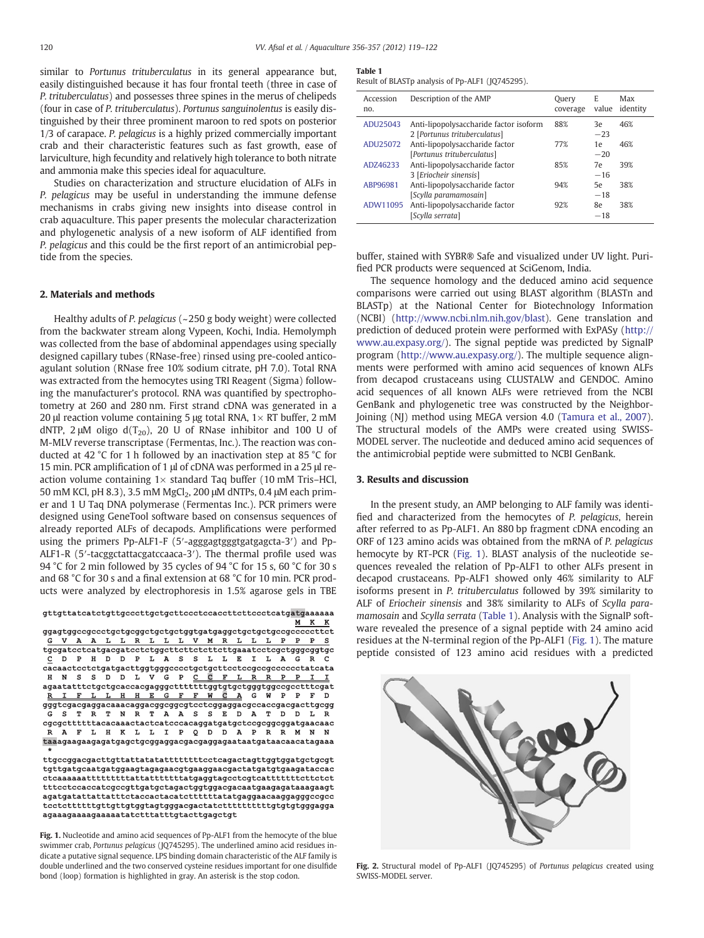<span id="page-1-0"></span>similar to Portunus trituberculatus in its general appearance but, easily distinguished because it has four frontal teeth (three in case of P. trituberculatus) and possesses three spines in the merus of chelipeds (four in case of P. trituberculatus). Portunus sanguinolentus is easily distinguished by their three prominent maroon to red spots on posterior 1/3 of carapace. P. pelagicus is a highly prized commercially important crab and their characteristic features such as fast growth, ease of larviculture, high fecundity and relatively high tolerance to both nitrate and ammonia make this species ideal for aquaculture.

Studies on characterization and structure elucidation of ALFs in P. pelagicus may be useful in understanding the immune defense mechanisms in crabs giving new insights into disease control in crab aquaculture. This paper presents the molecular characterization and phylogenetic analysis of a new isoform of ALF identified from P. pelagicus and this could be the first report of an antimicrobial peptide from the species.

# 2. Materials and methods

Healthy adults of P. pelagicus (~250 g body weight) were collected from the backwater stream along Vypeen, Kochi, India. Hemolymph was collected from the base of abdominal appendages using specially designed capillary tubes (RNase-free) rinsed using pre-cooled anticoagulant solution (RNase free 10% sodium citrate, pH 7.0). Total RNA was extracted from the hemocytes using TRI Reagent (Sigma) following the manufacturer's protocol. RNA was quantified by spectrophotometry at 260 and 280 nm. First strand cDNA was generated in a 20 μl reaction volume containing 5 μg total RNA,  $1 \times RT$  buffer, 2 mM dNTP, 2  $\mu$ M oligo d(T<sub>20</sub>), 20 U of RNase inhibitor and 100 U of M-MLV reverse transcriptase (Fermentas, Inc.). The reaction was conducted at 42 °C for 1 h followed by an inactivation step at 85 °C for 15 min. PCR amplification of 1 μl of cDNA was performed in a 25 μl reaction volume containing  $1\times$  standard Taq buffer (10 mM Tris-HCl, 50 mM KCl, pH 8.3), 3.5 mM MgCl<sub>2</sub>, 200 μM dNTPs, 0.4 μM each primer and 1 U Taq DNA polymerase (Fermentas Inc.). PCR primers were designed using GeneTool software based on consensus sequences of already reported ALFs of decapods. Amplifications were performed using the primers Pp-ALF1-F (5′-agggagtgggtgatgagcta-3′) and Pp-ALF1-R (5′-tacggctattacgatccaaca-3′). The thermal profile used was 94 °C for 2 min followed by 35 cycles of 94 °C for 15 s, 60 °C for 30 s and 68 °C for 30 s and a final extension at 68 °C for 10 min. PCR products were analyzed by electrophoresis in 1.5% agarose gels in TBE

gttgttatcatctgttgcccttgctgcttccctccaccttcttccctcatgatgaaaaaa  $M$  K K

ggagtggccgccctgctgcggctgctgctggtgatgaggctgctgctgccgcccccttct A A L L R L L L V M R L L L P  $P$   $P$   $S$  $\tt gcgatectc at gacga tectc t ggettettet et tettgaa at cctc gctgggcggtgc$ D P H D D P L A S S L L E I L A G R c  ${\tt cascadeetctcyat} g acting by gogocctgctgcttectccedcccccccctatcata$ H N S S D D L V G P  $\Gamma$ FLRRPP agaatatttctgctgcaccacgagggctttttttggtgtgctgggtggccgcctttcgat<br>RIFLLHHEGFFWCAGWPPFD gggtcgacgaggacaaacaggacggcggcgtcctcggaggacgccaccgacgacttgcgg G S TRTNRTAASSEDATDDLR  ${\tt cgcgttttttacacaaactactccacacaggatgatgactcccgcggcggataacaac}$  $\mathbb R$ A F L H K L L I P Q D D A P R R M N N taaagaagaagagatgagctgcggaggacgacgaggagaataatgataacaacatagaaa

 $\verb+tdccsgacsgacttgttattatatatttttttcccagactagttggtggatgctgctgct$ tgttgatgcaatgatggaagtagagaacgtgaaggaacgactatgatgtgaagataccac  $\verb|ctcaaaaatttttttatattattttttatagaggtagectcgtcatttttttetctct$ tttcctccaccatcgccgttgatgctagactggtggacgacaatgaagagataaagaagt agatgatattattatt<br/>ctaccactacatcttttttatatgaggaacaaggagggccgcc agaaagaaaagaaaaatatctttatttgtacttgagctgt

Fig. 1. Nucleotide and amino acid sequences of Pp-ALF1 from the hemocyte of the blue swimmer crab, Portunus pelagicus (JQ745295). The underlined amino acid residues indicate a putative signal sequence. LPS binding domain characteristic of the ALF family is double underlined and the two conserved cysteine residues important for one disulfide bond (loop) formation is highlighted in gray. An asterisk is the stop codon.

#### Table 1

Result of BLASTp analysis of Pp-ALF1 (JQ745295).

| Accession<br>no. | Description of the AMP                                                 | Query<br>coverage | E<br>value  | Max<br>identity |
|------------------|------------------------------------------------------------------------|-------------------|-------------|-----------------|
| ADU25043         | Anti-lipopolysaccharide factor isoform<br>2 [Portunus trituberculatus] | 88%               | 3e<br>$-23$ | 46%             |
| ADU25072         | Anti-lipopolysaccharide factor<br>[Portunus trituberculatus]           | 77%               | 1e<br>$-20$ | 46%             |
| ADZ46233         | Anti-lipopolysaccharide factor<br>3 [Eriocheir sinensis]               | 85%               | 7e<br>$-16$ | 39%             |
| ABP96981         | Anti-lipopolysaccharide factor<br>[Scylla paramamosain]                | 94%               | 5e<br>$-18$ | 38%             |
| ADW11095         | Anti-lipopolysaccharide factor<br>[Scylla serrata]                     | 92%               | 8e<br>$-18$ | 38%             |

buffer, stained with SYBR® Safe and visualized under UV light. Purified PCR products were sequenced at SciGenom, India.

The sequence homology and the deduced amino acid sequence comparisons were carried out using BLAST algorithm (BLASTn and BLASTp) at the National Center for Biotechnology Information (NCBI) (<http://www.ncbi.nlm.nih.gov/blast>). Gene translation and prediction of deduced protein were performed with ExPASy ([http://](http://www.au.expasy.org/) [www.au.expasy.org/](http://www.au.expasy.org/)). The signal peptide was predicted by SignalP program [\(http://www.au.expasy.org/\)](http://www.au.expasy.org/). The multiple sequence alignments were performed with amino acid sequences of known ALFs from decapod crustaceans using CLUSTALW and GENDOC. Amino acid sequences of all known ALFs were retrieved from the NCBI GenBank and phylogenetic tree was constructed by the Neighbor-Joining (NJ) method using MEGA version 4.0 [\(Tamura et al., 2007](#page-3-0)). The structural models of the AMPs were created using SWISS-MODEL server. The nucleotide and deduced amino acid sequences of the antimicrobial peptide were submitted to NCBI GenBank.

# 3. Results and discussion

In the present study, an AMP belonging to ALF family was identified and characterized from the hemocytes of P. pelagicus, herein after referred to as Pp-ALF1. An 880 bp fragment cDNA encoding an ORF of 123 amino acids was obtained from the mRNA of P. pelagicus hemocyte by RT-PCR (Fig. 1). BLAST analysis of the nucleotide sequences revealed the relation of Pp-ALF1 to other ALFs present in decapod crustaceans. Pp-ALF1 showed only 46% similarity to ALF isoforms present in P. trituberculatus followed by 39% similarity to ALF of Eriocheir sinensis and 38% similarity to ALFs of Scylla paramamosain and Scylla serrata (Table 1). Analysis with the SignalP software revealed the presence of a signal peptide with 24 amino acid residues at the N-terminal region of the Pp-ALF1 (Fig. 1). The mature peptide consisted of 123 amino acid residues with a predicted



Fig. 2. Structural model of Pp-ALF1 (JQ745295) of Portunus pelagicus created using SWISS-MODEL server.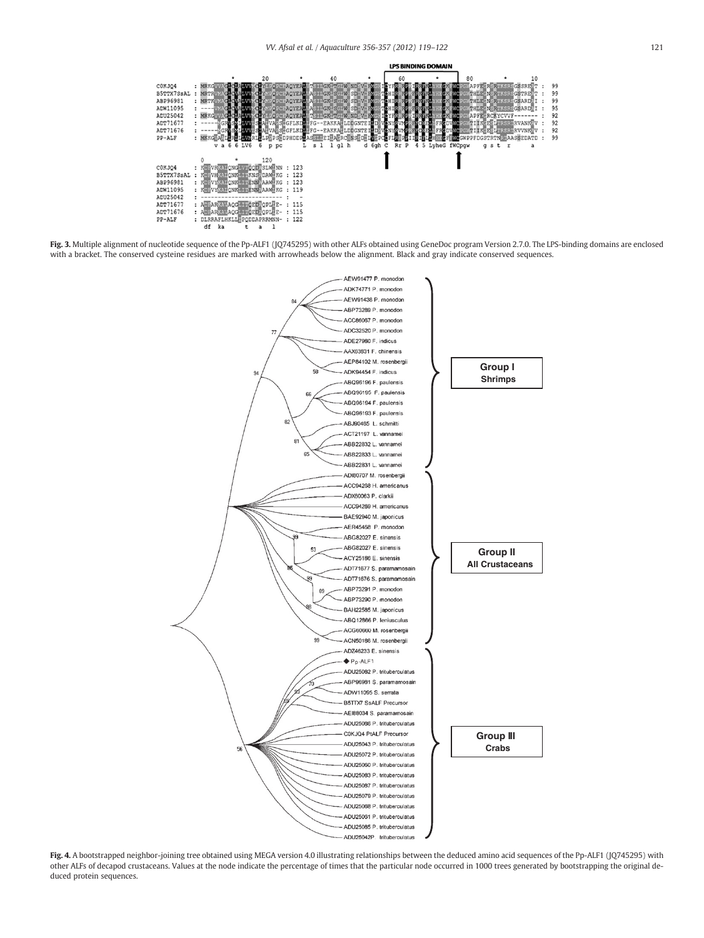<span id="page-2-0"></span>

Fig. 3. Multiple alignment of nucleotide sequence of the Pp-ALF1 (JQ745295) with other ALFs obtained using GeneDoc program Version 2.7.0. The LPS-binding domains are enclosed with a bracket. The conserved cysteine residues are marked with arrowheads below the alignment. Black and gray indicate conserved sequences.



Fig. 4. A bootstrapped neighbor-joining tree obtained using MEGA version 4.0 illustrating relationships between the deduced amino acid sequences of the Pp-ALF1 (JQ745295) with other ALFs of decapod crustaceans. Values at the node indicate the percentage of times that the particular node occurred in 1000 trees generated by bootstrapping the original deduced protein sequences.